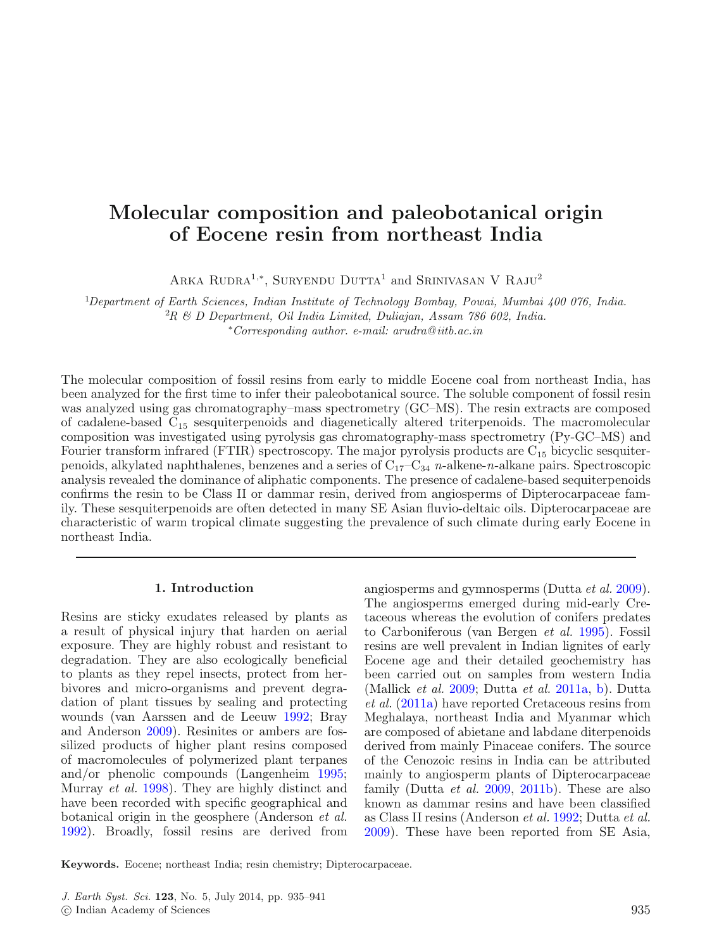# **Molecular composition and paleobotanical origin of Eocene resin from northeast India**

ARKA RUDRA<sup>1,∗</sup>, SURYENDU DUTTA<sup>1</sup> and SRINIVASAN V RAJU<sup>2</sup>

1 *Department of Earth Sciences, Indian Institute of Technology Bombay, Powai, Mumbai 400 076, India.*

2 *R & D Department, Oil India Limited, Duliajan, Assam 786 602, India.*

∗ *Corresponding author*. *e-mail: arudra@ iitb.ac.in*

The molecular composition of fossil resins from early to middle Eocene coal from northeast India, has been analyzed for the first time to infer their paleobotanical source. The soluble component of fossil resin was analyzed using gas chromatography–mass spectrometry (GC–MS). The resin extracts are composed of cadalene-based  $C_{15}$  sesquiterpenoids and diagenetically altered triterpenoids. The macromolecular composition was investigated using pyrolysis gas chromatography-mass spectrometry (Py-GC–MS) and Fourier transform infrared (FTIR) spectroscopy. The major pyrolysis products are  $C_{15}$  bicyclic sesquiterpenoids, alkylated naphthalenes, benzenes and a series of C17–C<sup>34</sup> *n*-alkene-*n*-alkane pairs. Spectroscopic analysis revealed the dominance of aliphatic components. The presence of cadalene-based sequiterpenoids confirms the resin to be Class II or dammar resin, derived from angiosperms of Dipterocarpaceae family. These sesquiterpenoids are often detected in many SE Asian fluvio-deltaic oils. Dipterocarpaceae are characteristic of warm tropical climate suggesting the prevalence of such climate during early Eocene in northeast India.

## **1. Introduction**

Resins are sticky exudates released by plants as a result of physical injury that harden on aerial exposure. They are highly robust and resistant to degradation. They are also ecologically beneficial to plants as they repel insects, protect from herbivores and micro-organisms and prevent degradation of plant tissues by sealing and protecting wounds (van Aarssen and de Leeuw [1992;](#page-6-0) Bray and Anderson [2009\)](#page-5-0). Resinites or ambers are fossilized products of higher plant resins composed of macromolecules of polymerized plant terpanes and/or phenolic compounds (Langenheim [1995;](#page-6-1) Murray *et al.* [1998\)](#page-6-2). They are highly distinct and have been recorded with specific geographical and botanical origin in the geosphere (Anderson *et al.* [1992\)](#page-5-1). Broadly, fossil resins are derived from

angiosperms and gymnosperms (Dutta *et al.* [2009\)](#page-5-2). The angiosperms emerged during mid-early Cretaceous whereas the evolution of conifers predates to Carboniferous (van Bergen *et al.* [1995\)](#page-6-3). Fossil resins are well prevalent in Indian lignites of early Eocene age and their detailed geochemistry has been carried out on samples from western India (Mallick *et al.* [2009;](#page-6-4) Dutta *et al.* [2011a,](#page-5-3) [b\)](#page-5-4). Dutta *et al.* [\(2011a\)](#page-5-3) have reported Cretaceous resins from Meghalaya, northeast India and Myanmar which are composed of abietane and labdane diterpenoids derived from mainly Pinaceae conifers. The source of the Cenozoic resins in India can be attributed mainly to angiosperm plants of Dipterocarpaceae family (Dutta *et al.* [2009,](#page-5-2) [2011b\)](#page-5-4). These are also known as dammar resins and have been classified as Class II resins (Anderson *et al.* [1992;](#page-5-1) Dutta *et al.* [2009\)](#page-5-2). These have been reported from SE Asia,

**Keywords.** Eocene; northeast India; resin chemistry; Dipterocarpaceae.

*J. Earth Syst. Sci.* **123**, No. 5, July 2014, pp. 935–941

<sup>-</sup>c Indian Academy of Sciences 935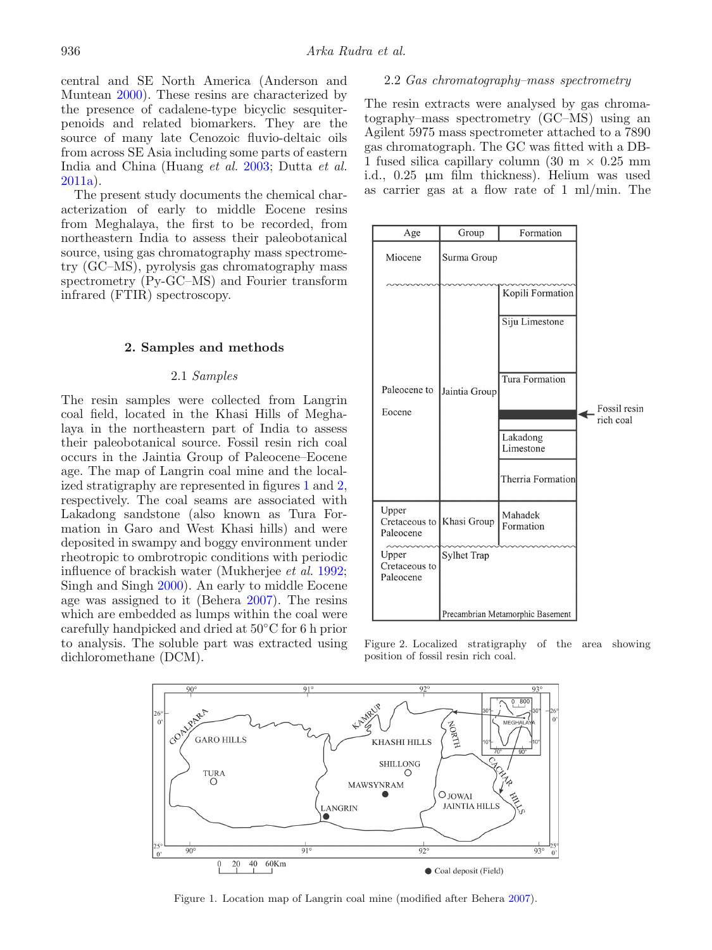central and SE North America (Anderson and Muntean [2000\)](#page-5-5). These resins are characterized by the presence of cadalene-type bicyclic sesquiterpenoids and related biomarkers. They are the source of many late Cenozoic fluvio-deltaic oils from across SE Asia including some parts of eastern India and China (Huang *et al.* [2003;](#page-6-5) Dutta *et al.* [2011a\)](#page-5-3).

The present study documents the chemical characterization of early to middle Eocene resins from Meghalaya, the first to be recorded, from northeastern India to assess their paleobotanical source, using gas chromatography mass spectrometry (GC–MS), pyrolysis gas chromatography mass spectrometry (Py-GC–MS) and Fourier transform infrared (FTIR) spectroscopy.

#### **2. Samples and methods**

# 2.1 *Samples*

The resin samples were collected from Langrin coal field, located in the Khasi Hills of Meghalaya in the northeastern part of India to assess their paleobotanical source. Fossil resin rich coal occurs in the Jaintia Group of Paleocene–Eocene age. The map of Langrin coal mine and the localized stratigraphy are represented in figures [1](#page-1-0) and [2,](#page-1-1) respectively. The coal seams are associated with Lakadong sandstone (also known as Tura Formation in Garo and West Khasi hills) and were deposited in swampy and boggy environment under rheotropic to ombrotropic conditions with periodic influence of brackish water (Mukherjee *et al.* [1992;](#page-6-6) Singh and Singh [2000\)](#page-6-7). An early to middle Eocene age was assigned to it (Behera [2007\)](#page-5-6). The resins which are embedded as lumps within the coal were carefully handpicked and dried at 50◦C for 6 h prior to analysis. The soluble part was extracted using dichloromethane (DCM).

## 2.2 *Gas chromatography–mass spectrometry*

The resin extracts were analysed by gas chromatography–mass spectrometry (GC–MS) using an Agilent 5975 mass spectrometer attached to a 7890 gas chromatograph. The GC was fitted with a DB-1 fused silica capillary column (30 m *×* 0.25 mm i.d., 0.25 µm film thickness). Helium was used as carrier gas at a flow rate of 1 ml/min. The

<span id="page-1-1"></span>

Figure 2. Localized stratigraphy of the area showing position of fossil resin rich coal.

<span id="page-1-0"></span>

Figure 1. Location map of Langrin coal mine (modified after Behera [2007\)](#page-5-6).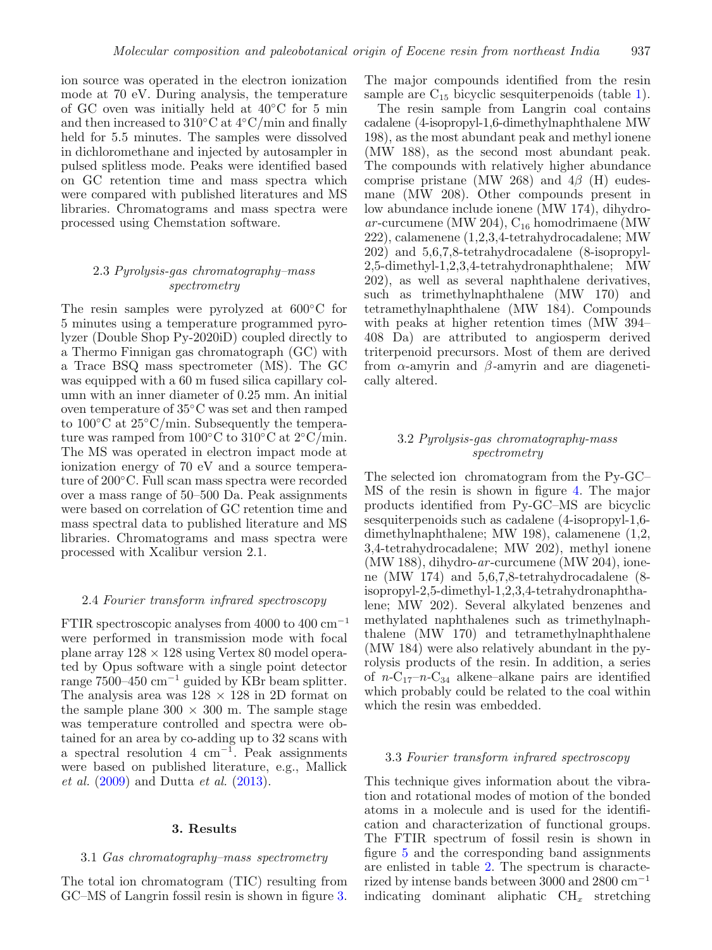ion source was operated in the electron ionization mode at 70 eV. During analysis, the temperature of GC oven was initially held at 40◦C for 5 min and then increased to 310◦C at 4◦C/min and finally held for 5.5 minutes. The samples were dissolved in dichloromethane and injected by autosampler in pulsed splitless mode. Peaks were identified based on GC retention time and mass spectra which were compared with published literatures and MS libraries. Chromatograms and mass spectra were processed using Chemstation software.

# 2.3 *Pyrolysis-gas chromatography–mass spectrometry*

The resin samples were pyrolyzed at 600◦C for 5 minutes using a temperature programmed pyrolyzer (Double Shop Py-2020iD) coupled directly to a Thermo Finnigan gas chromatograph (GC) with a Trace BSQ mass spectrometer (MS). The GC was equipped with a 60 m fused silica capillary column with an inner diameter of 0.25 mm. An initial oven temperature of 35◦C was set and then ramped to 100◦C at 25◦C/min. Subsequently the temperature was ramped from  $100\degree C$  to  $310\degree C$  at  $2\degree C/\text{min}$ . The MS was operated in electron impact mode at ionization energy of 70 eV and a source temperature of 200◦C. Full scan mass spectra were recorded over a mass range of 50–500 Da. Peak assignments were based on correlation of GC retention time and mass spectral data to published literature and MS libraries. Chromatograms and mass spectra were processed with Xcalibur version 2.1.

#### 2.4 *Fourier transform infrared spectroscopy*

FTIR spectroscopic analyses from 4000 to 400  $\text{cm}^{-1}$ were performed in transmission mode with focal plane array 128 *×* 128 using Vertex 80 model operated by Opus software with a single point detector range 7500–450 cm−<sup>1</sup> guided by KBr beam splitter. The analysis area was  $128 \times 128$  in 2D format on the sample plane  $300 \times 300$  m. The sample stage was temperature controlled and spectra were obtained for an area by co-adding up to 32 scans with a spectral resolution 4 cm<sup>-1</sup>. Peak assignments were based on published literature, e.g., Mallick *et al.* [\(2009\)](#page-6-4) and Dutta *et al.* [\(2013\)](#page-5-7).

#### **3. Results**

## 3.1 *Gas chromatography–mass spectrometry*

The total ion chromatogram (TIC) resulting from GC–MS of Langrin fossil resin is shown in figure [3.](#page-3-0)

The major compounds identified from the resin sample are  $C_{15}$  bicyclic sesquiterpenoids (table [1\)](#page-3-1).

The resin sample from Langrin coal contains cadalene (4-isopropyl-1,6-dimethylnaphthalene MW 198), as the most abundant peak and methyl ionene (MW 188), as the second most abundant peak. The compounds with relatively higher abundance comprise pristane (MW 268) and  $4\beta$  (H) eudesmane (MW 208). Other compounds present in low abundance include ionene (MW 174), dihydro $ar$ -curcumene (MW 204),  $C_{16}$  homodrimaene (MW) 222), calamenene (1,2,3,4-tetrahydrocadalene; MW 202) and 5,6,7,8-tetrahydrocadalene (8-isopropyl-2,5-dimethyl-1,2,3,4-tetrahydronaphthalene; MW 202), as well as several naphthalene derivatives, such as trimethylnaphthalene (MW 170) and tetramethylnaphthalene (MW 184). Compounds with peaks at higher retention times (MW 394– 408 Da) are attributed to angiosperm derived triterpenoid precursors. Most of them are derived from α-amyrin and β*-*amyrin and are diagenetically altered.

# 3.2 *Pyrolysis-gas chromatography-mass spectrometry*

The selected ion chromatogram from the Py-GC– MS of the resin is shown in figure [4.](#page-4-0) The major products identified from Py-GC–MS are bicyclic sesquiterpenoids such as cadalene (4-isopropyl-1,6 dimethylnaphthalene; MW 198), calamenene (1,2, 3,4-tetrahydrocadalene; MW 202), methyl ionene (MW 188), dihydro-*ar* -curcumene (MW 204), ionene (MW 174) and 5,6,7,8-tetrahydrocadalene (8 isopropyl-2,5-dimethyl-1,2,3,4-tetrahydronaphthalene; MW 202). Several alkylated benzenes and methylated naphthalenes such as trimethylnaphthalene (MW 170) and tetramethylnaphthalene (MW 184) were also relatively abundant in the pyrolysis products of the resin. In addition, a series of  $n-C_{17}-n-C_{34}$  alkene–alkane pairs are identified which probably could be related to the coal within which the resin was embedded.

#### 3.3 *Fourier transform infrared spectroscopy*

This technique gives information about the vibration and rotational modes of motion of the bonded atoms in a molecule and is used for the identification and characterization of functional groups. The FTIR spectrum of fossil resin is shown in figure [5](#page-4-1) and the corresponding band assignments are enlisted in table [2.](#page-5-8) The spectrum is characterized by intense bands between 3000 and 2800 cm−<sup>1</sup> indicating dominant aliphatic CH*<sup>x</sup>* stretching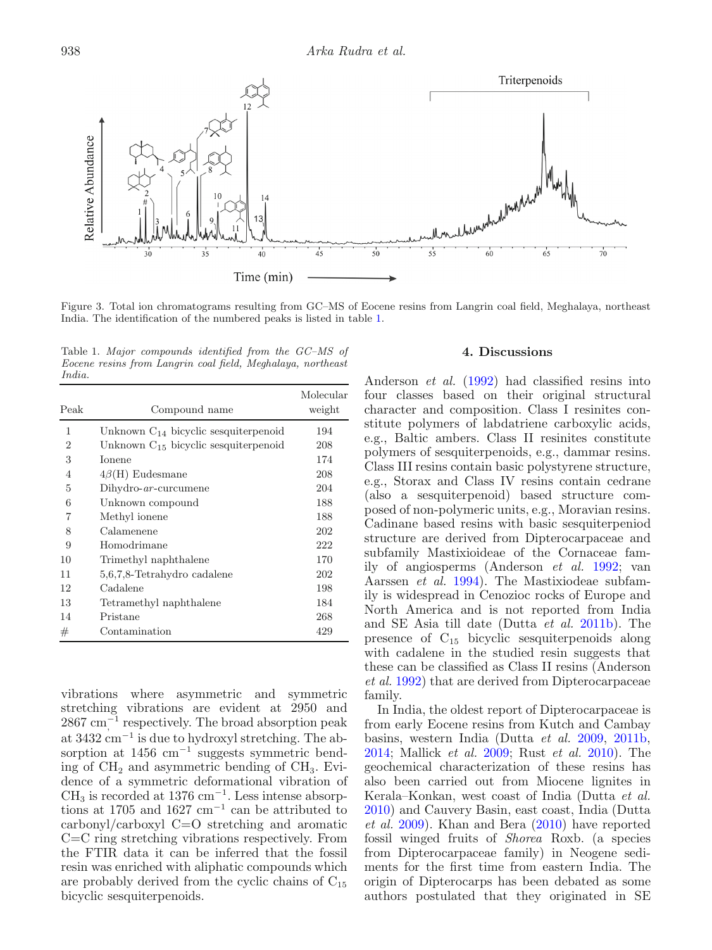<span id="page-3-0"></span>

Figure 3. Total ion chromatograms resulting from GC–MS of Eocene resins from Langrin coal field, Meghalaya, northeast India. The identification of the numbered peaks is listed in table [1.](#page-3-1)

<span id="page-3-1"></span>Table 1. *Major compounds identified from the GC–MS of Eocene resins from Langrin coal field, Meghalaya, northeast India.*

| Peak           | Compound name                             | Molecular<br>weight |
|----------------|-------------------------------------------|---------------------|
| 1              | Unknown $C_{14}$ bicyclic sesquiterpenoid | 194                 |
| $\overline{2}$ | Unknown $C_{15}$ bicyclic sesquiterpenoid | 208                 |
| 3              | <b>Ionene</b>                             | 174                 |
| 4              | $4\beta$ (H) Eudesmane                    | 208                 |
| 5              | $Dihydro-ar-curcumene$                    | 204                 |
| 6              | Unknown compound                          | 188                 |
| 7              | Methyl ionene                             | 188                 |
| 8              | Calamenene                                | 202                 |
| 9              | Homodrimane                               | 222                 |
| 10             | Trimethyl naphthalene                     | 170                 |
| 11             | 5,6,7,8-Tetrahydro cadalene               | 202                 |
| 12             | Cadalene                                  | 198                 |
| 13             | Tetramethyl naphthalene                   | 184                 |
| 14             | Pristane                                  | 268                 |
| #              | Contamination                             | 429                 |

vibrations where asymmetric and symmetric stretching vibrations are evident at 2950 and 2867 cm<sup>-1</sup> respectively. The broad absorption peak at 3432 cm−<sup>1</sup> is due to hydroxyl stretching. The absorption at 1456 cm−<sup>1</sup> suggests symmetric bending of  $CH<sub>2</sub>$  and asymmetric bending of  $CH<sub>3</sub>$ . Evidence of a symmetric deformational vibration of  $CH<sub>3</sub>$  is recorded at 1376 cm<sup>-1</sup>. Less intense absorptions at 1705 and 1627  $\text{cm}^{-1}$  can be attributed to carbonyl/carboxyl C=O stretching and aromatic C=C ring stretching vibrations respectively. From the FTIR data it can be inferred that the fossil resin was enriched with aliphatic compounds which are probably derived from the cyclic chains of  $C_{15}$ bicyclic sesquiterpenoids.

# **4. Discussions**

Anderson *et al.* [\(1992\)](#page-5-1) had classified resins into four classes based on their original structural character and composition. Class I resinites constitute polymers of labdatriene carboxylic acids, e.g., Baltic ambers. Class II resinites constitute polymers of sesquiterpenoids, e.g., dammar resins. Class III resins contain basic polystyrene structure, e.g., Storax and Class IV resins contain cedrane (also a sesquiterpenoid) based structure composed of non-polymeric units, e.g., Moravian resins. Cadinane based resins with basic sesquiterpeniod structure are derived from Dipterocarpaceae and subfamily Mastixioideae of the Cornaceae family of angiosperms (Anderson *et al.* [1992;](#page-5-1) van Aarssen *et al.* [1994\)](#page-6-8). The Mastixiodeae subfamily is widespread in Cenozioc rocks of Europe and North America and is not reported from India and SE Asia till date (Dutta *et al.* [2011b\)](#page-5-4). The presence of C<sup>15</sup> bicyclic sesquiterpenoids along with cadalene in the studied resin suggests that these can be classified as Class II resins (Anderson *et al.* [1992\)](#page-5-1) that are derived from Dipterocarpaceae family.

In India, the oldest report of Dipterocarpaceae is from early Eocene resins from Kutch and Cambay basins, western India (Dutta *et al.* [2009,](#page-5-2) [2011b,](#page-5-4) [2014;](#page-6-9) Mallick *et al.* [2009;](#page-6-4) Rust *et al.* [2010\)](#page-6-10). The geochemical characterization of these resins has also been carried out from Miocene lignites in Kerala–Konkan, west coast of India (Dutta *et al.* [2010\)](#page-5-9) and Cauvery Basin, east coast, India (Dutta *et al.* [2009\)](#page-5-2). Khan and Bera [\(2010\)](#page-6-11) have reported fossil winged fruits of *Shorea* Roxb. (a species from Dipterocarpaceae family) in Neogene sediments for the first time from eastern India. The origin of Dipterocarps has been debated as some authors postulated that they originated in SE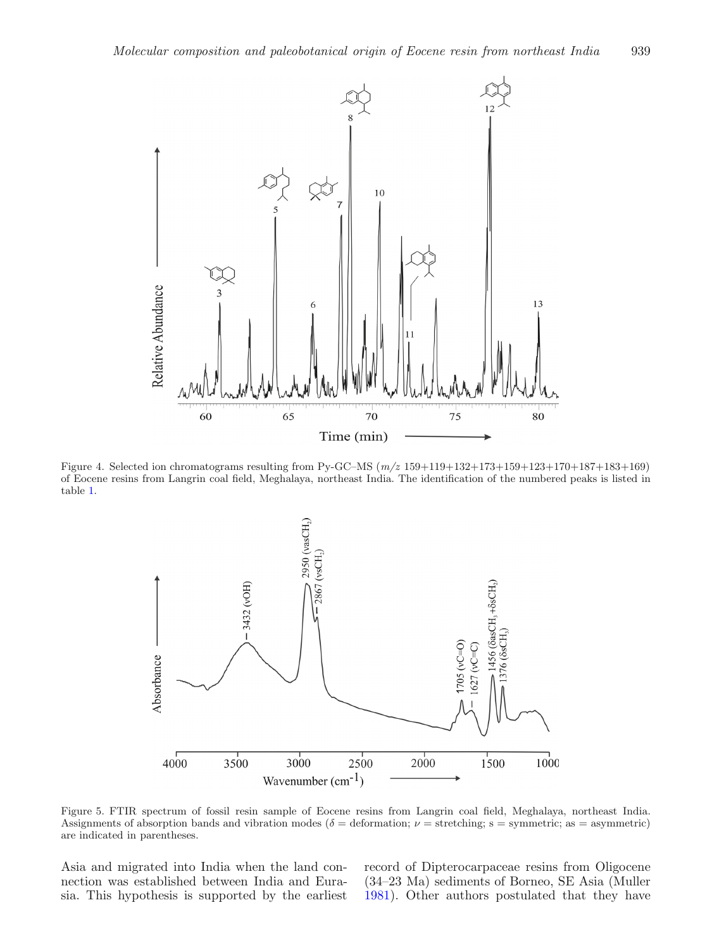<span id="page-4-0"></span>

<span id="page-4-1"></span>Figure 4. Selected ion chromatograms resulting from Py-GC–MS (*m/z* 159+119+132+173+159+123+170+187+183+169) of Eocene resins from Langrin coal field, Meghalaya, northeast India. The identification of the numbered peaks is listed in table [1.](#page-3-1)



Figure 5. FTIR spectrum of fossil resin sample of Eocene resins from Langrin coal field, Meghalaya, northeast India. Assignments of absorption bands and vibration modes ( $\delta$  = deformation;  $\nu$  = stretching; s = symmetric; as = asymmetric) are indicated in parentheses.

Asia and migrated into India when the land connection was established between India and Eurasia. This hypothesis is supported by the earliest record of Dipterocarpaceae resins from Oligocene (34–23 Ma) sediments of Borneo, SE Asia (Muller [1981\)](#page-6-12). Other authors postulated that they have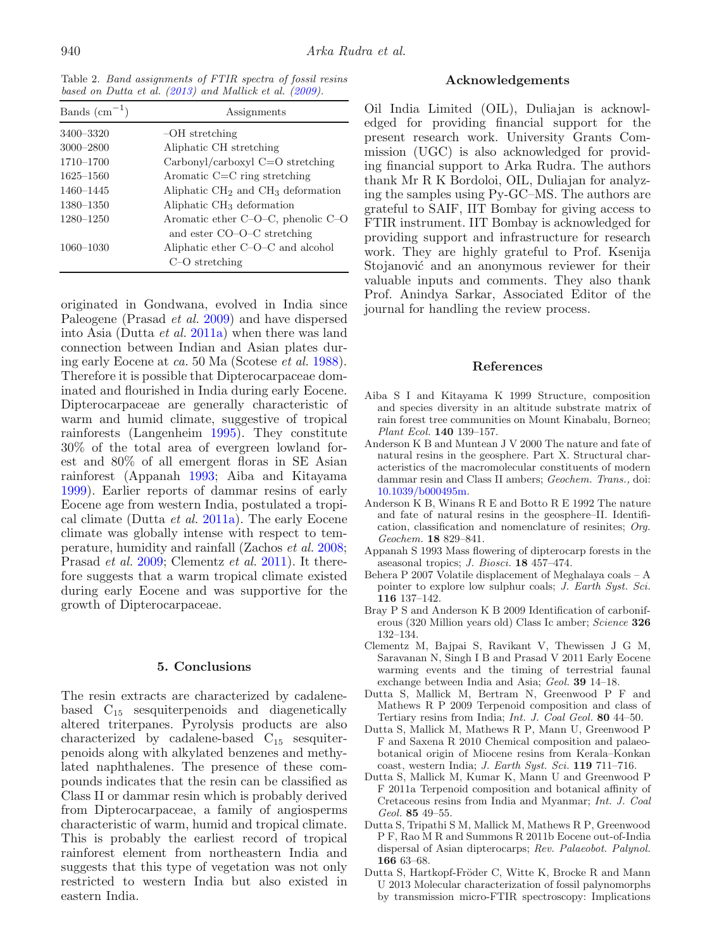<span id="page-5-8"></span>Table 2. *Band assignments of FTIR spectra of fossil resins based on Dutta et al. [\(2013\)](#page-5-7) and Mallick et al. [\(2009\)](#page-6-4).*

| Bands $\text{(cm}^{-1})$ | Assignments                                                              |
|--------------------------|--------------------------------------------------------------------------|
| 3400-3320                | $-OH$ stretching                                                         |
| 3000-2800                | Aliphatic CH stretching                                                  |
| 1710–1700                | Carbonyl/carboxyl C=O stretching                                         |
| 1625-1560                | Aromatic $C = C$ ring stretching                                         |
| 1460-1445                | Aliphatic $CH2$ and $CH3$ deformation                                    |
| 1380-1350                | Aliphatic CH <sub>3</sub> deformation                                    |
| $1280 - 1250$            | Aromatic ether $C-O-C$ , phenolic $C-O$<br>and ester $CO-O-C$ stretching |
| $1060 - 1030$            | Aliphatic ether C–O–C and alcohol<br>$C-O$ stretching                    |

originated in Gondwana, evolved in India since Paleogene (Prasad *et al.* [2009\)](#page-6-13) and have dispersed into Asia (Dutta *et al.* [2011a\)](#page-5-3) when there was land connection between Indian and Asian plates during early Eocene at *ca.* 50 Ma (Scotese *et al.* [1988\)](#page-6-14). Therefore it is possible that Dipterocarpaceae dominated and flourished in India during early Eocene. Dipterocarpaceae are generally characteristic of warm and humid climate, suggestive of tropical rainforests (Langenheim [1995\)](#page-6-1). They constitute 30% of the total area of evergreen lowland forest and 80% of all emergent floras in SE Asian rainforest (Appanah [1993;](#page-5-10) Aiba and Kitayama [1999\)](#page-5-11). Earlier reports of dammar resins of early Eocene age from western India, postulated a tropical climate (Dutta *et al.* [2011a\)](#page-5-3). The early Eocene climate was globally intense with respect to temperature, humidity and rainfall (Zachos *et al.* [2008;](#page-6-15) Prasad *et al.* [2009;](#page-6-13) Clementz *et al.* [2011\)](#page-5-12). It therefore suggests that a warm tropical climate existed during early Eocene and was supportive for the growth of Dipterocarpaceae.

#### **5. Conclusions**

The resin extracts are characterized by cadalenebased  $C_{15}$  sesquiterpenoids and diagenetically altered triterpanes. Pyrolysis products are also characterized by cadalene-based C<sup>15</sup> sesquiterpenoids along with alkylated benzenes and methylated naphthalenes. The presence of these compounds indicates that the resin can be classified as Class II or dammar resin which is probably derived from Dipterocarpaceae, a family of angiosperms characteristic of warm, humid and tropical climate. This is probably the earliest record of tropical rainforest element from northeastern India and suggests that this type of vegetation was not only restricted to western India but also existed in eastern India.

# **Acknowledgements**

Oil India Limited (OIL), Duliajan is acknowledged for providing financial support for the present research work. University Grants Commission (UGC) is also acknowledged for providing financial support to Arka Rudra. The authors thank Mr R K Bordoloi, OIL, Duliajan for analyzing the samples using Py-GC–MS. The authors are grateful to SAIF, IIT Bombay for giving access to FTIR instrument. IIT Bombay is acknowledged for providing support and infrastructure for research work. They are highly grateful to Prof. Ksenija Stojanović and an anonymous reviewer for their valuable inputs and comments. They also thank Prof. Anindya Sarkar, Associated Editor of the journal for handling the review process.

#### **References**

- <span id="page-5-11"></span>Aiba S I and Kitayama K 1999 Structure, composition and species diversity in an altitude substrate matrix of rain forest tree communities on Mount Kinabalu, Borneo; *Plant Ecol.* **140** 139–157.
- <span id="page-5-5"></span>Anderson K B and Muntean J V 2000 The nature and fate of natural resins in the geosphere. Part X. Structural characteristics of the macromolecular constituents of modern dammar resin and Class II ambers; *Geochem. Trans.,* doi: [10.1039/b000495m.](http://dx.doi.org/10.1039/b000495m)
- <span id="page-5-1"></span>Anderson K B, Winans R E and Botto R E 1992 The nature and fate of natural resins in the geosphere–II. Identification, classification and nomenclature of resinites; *Org. Geochem.* **18** 829–841.
- <span id="page-5-10"></span>Appanah S 1993 Mass flowering of dipterocarp forests in the aseasonal tropics; *J. Biosci.* **18** 457–474.
- <span id="page-5-6"></span>Behera P 2007 Volatile displacement of Meghalaya coals – A pointer to explore low sulphur coals; *J. Earth Syst. Sci.* **116** 137–142.
- <span id="page-5-0"></span>Bray P S and Anderson K B 2009 Identification of carboniferous (320 Million years old) Class Ic amber; *Science* **326** 132–134.
- <span id="page-5-12"></span>Clementz M, Bajpai S, Ravikant V, Thewissen J G M, Saravanan N, Singh I B and Prasad V 2011 Early Eocene warming events and the timing of terrestrial faunal exchange between India and Asia; *Geol.* **39** 14–18.
- <span id="page-5-2"></span>Dutta S, Mallick M, Bertram N, Greenwood P F and Mathews R P 2009 Terpenoid composition and class of Tertiary resins from India; *Int. J. Coal Geol.* **80** 44–50.
- <span id="page-5-9"></span>Dutta S, Mallick M, Mathews R P, Mann U, Greenwood P F and Saxena R 2010 Chemical composition and palaeobotanical origin of Miocene resins from Kerala–Konkan coast, western India; *J. Earth Syst. Sci.* **119** 711–716.
- <span id="page-5-3"></span>Dutta S, Mallick M, Kumar K, Mann U and Greenwood P F 2011a Terpenoid composition and botanical affinity of Cretaceous resins from India and Myanmar; *Int. J. Coal Geol.* **85** 49–55.
- <span id="page-5-4"></span>Dutta S, Tripathi S M, Mallick M, Mathews R P, Greenwood P F, Rao M R and Summons R 2011b Eocene out-of-India dispersal of Asian dipterocarps; *Rev. Palaeobot. Palynol.* **166** 63–68.
- <span id="page-5-7"></span>Dutta S, Hartkopf-Fröder C, Witte K, Brocke R and Mann U 2013 Molecular characterization of fossil palynomorphs by transmission micro-FTIR spectroscopy: Implications